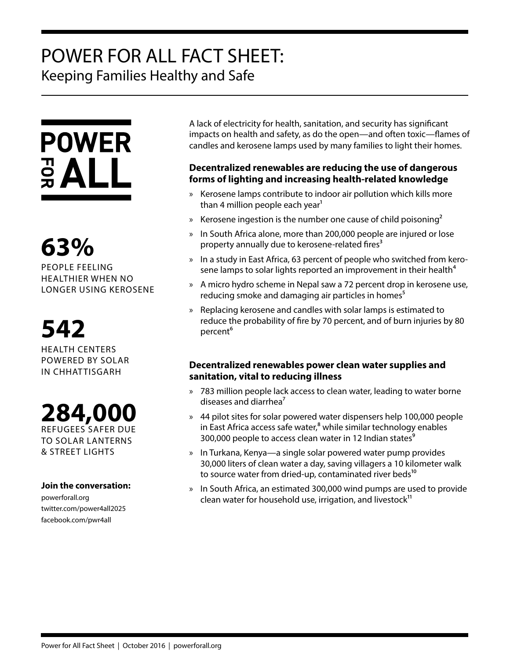## POWER FOR ALL FACT SHEET: Keeping Families Healthy and Safe

# **POWER**  $rac{1}{2}$  ALL

**63%** PEOPLE FEELING HEALTHIER WHEN NO LONGER USING KEROSENE

# **542**

HEALTH CENTERS POWERED BY SOLAR IN CHHAT TISGARH

**284,000** REFUGEES SAFER DUE TO SOLAR LANTERNS & STREET LIGHTS

#### **Join the conversation:**

powerforall.org twitter.com/power4all2025 facebook.com/pwr4all

A lack of electricity for health, sanitation, and security has significant impacts on health and safety, as do the open—and often toxic—flames of candles and kerosene lamps used by many families to light their homes.

### **Decentralized renewables are reducing the use of dangerous forms of lighting and increasing health-related knowledge**

- » Kerosene lamps contribute to indoor air pollution which kills more than 4 million people each year<sup>1</sup>
- » Kerosene ingestion is the number one cause of child poisoning<sup>2</sup>
- » In South Africa alone, more than 200,000 people are injured or lose property annually due to kerosene-related fires<sup>3</sup>
- » In a study in East Africa, 63 percent of people who switched from kerosene lamps to solar lights reported an improvement in their health<sup>4</sup>
- » A micro hydro scheme in Nepal saw a 72 percent drop in kerosene use, reducing smoke and damaging air particles in homes<sup>5</sup>
- » Replacing kerosene and candles with solar lamps is estimated to reduce the probability of fire by 70 percent, and of burn injuries by 80 percent<sup>6</sup>

#### **Decentralized renewables power clean water supplies and sanitation, vital to reducing illness**

- » 783 million people lack access to clean water, leading to water borne diseases and diarrhea<sup>7</sup>
- » 44 pilot sites for solar powered water dispensers help 100,000 people in East Africa access safe water, $8$  while similar technology enables 300,000 people to access clean water in 12 Indian states<sup>9</sup>
- » In Turkana, Kenya—a single solar powered water pump provides 30,000 liters of clean water a day, saving villagers a 10 kilometer walk to source water from dried-up, contaminated river beds<sup>10</sup>
- » In South Africa, an estimated 300,000 wind pumps are used to provide clean water for household use, irrigation, and livestock $11$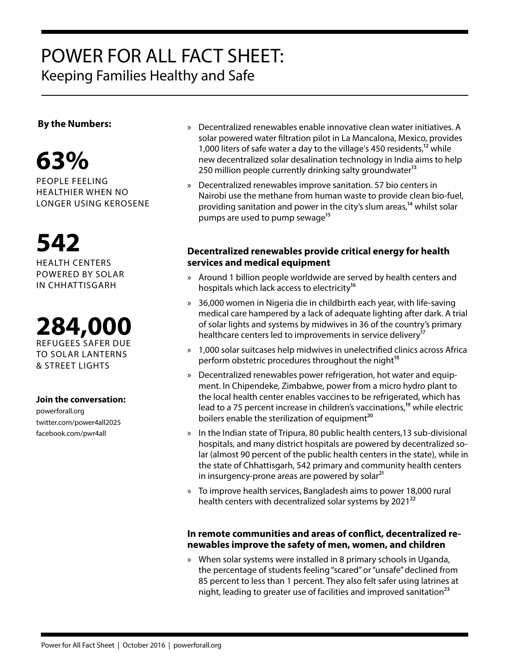## POWER FOR ALL FACT SHEET: Keeping Families Healthy and Safe



PEOPLE FEELING HEALTHIER WHEN NO LONGER USING KEROSENE

**542**

HEALTH CENTERS POWERED BY SOLAR IN CHHATTISGARH



#### **Join the conversation:**

powerforall.org twitter.com/power4all2025 facebook.com/pwr4all

- **By the Numbers: Exercisy Exercises By the Numbers:** A secontralized renewables enable innovative clean water initiatives. A solar powered water filtration pilot in La Mancalona, Mexico, provides 1,000 liters of safe water a day to the village's 450 residents,<sup>12</sup> while new decentralized solar desalination technology in India aims to help 250 million people currently drinking salty groundwater<sup>13</sup>
	- » Decentralized renewables improve sanitation. 57 bio centers in Nairobi use the methane from human waste to provide clean bio-fuel, providing sanitation and power in the city's slum areas,<sup>14</sup> whilst solar pumps are used to pump sewage<sup>15</sup>

#### **Decentralized renewables provide critical energy for health services and medical equipment**

- » Around 1 billion people worldwide are served by health centers and hospitals which lack access to electricity<sup>16</sup>
- » 36,000 women in Nigeria die in childbirth each year, with life-saving medical care hampered by a lack of adequate lighting after dark. A trial of solar lights and systems by midwives in 36 of the country's primary healthcare centers led to improvements in service delivery<sup>17</sup>
- » 1,000 solar suitcases help midwives in unelectrified clinics across Africa perform obstetric procedures throughout the night<sup>18</sup>
- » Decentralized renewables power refrigeration, hot water and equipment. In Chipendeke, Zimbabwe, power from a micro hydro plant to the local health center enables vaccines to be refrigerated, which has lead to a 75 percent increase in children's vaccinations,<sup>19</sup> while electric boilers enable the sterilization of equipment<sup>20</sup>
- » In the Indian state of Tripura, 80 public health centers,13 sub-divisional hospitals, and many district hospitals are powered by decentralized solar (almost 90 percent of the public health centers in the state), while in the state of Chhattisgarh, 542 primary and community health centers in insurgency-prone areas are powered by solar $^{21}$
- » To improve health services, Bangladesh aims to power 18,000 rural health centers with decentralized solar systems by  $2021^{22}$

#### **In remote communities and areas of conflict, decentralized renewables improve the safety of men, women, and children**

» When solar systems were installed in 8 primary schools in Uganda, the percentage of students feeling "scared" or "unsafe" declined from 85 percent to less than 1 percent. They also felt safer using latrines at night, leading to greater use of facilities and improved sanitation<sup>23</sup>